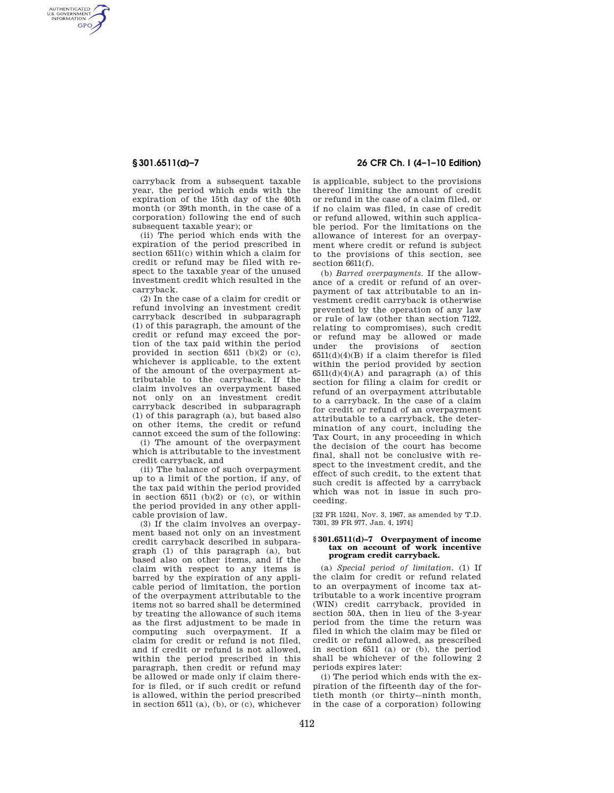AUTHENTICATED<br>U.S. GOVERNMENT<br>INFORMATION **GPO** 

> carryback from a subsequent taxable year, the period which ends with the expiration of the 15th day of the 40th month (or 39th month, in the case of a corporation) following the end of such subsequent taxable year); or

> (ii) The period which ends with the expiration of the period prescribed in section 6511(c) within which a claim for credit or refund may be filed with respect to the taxable year of the unused investment credit which resulted in the carryback.

(2) In the case of a claim for credit or refund involving an investment credit carryback described in subparagraph (1) of this paragraph, the amount of the credit or refund may exceed the portion of the tax paid within the period provided in section  $6511$  (b)(2) or (c). whichever is applicable, to the extent of the amount of the overpayment attributable to the carryback. If the claim involves an overpayment based not only on an investment credit carryback described in subparagraph (1) of this paragraph (a), but based also on other items, the credit or refund cannot exceed the sum of the following:

(i) The amount of the overpayment which is attributable to the investment credit carryback, and

(ii) The balance of such overpayment up to a limit of the portion, if any, of the tax paid within the period provided in section  $6511$  (b)(2) or (c), or within the period provided in any other applicable provision of law.

(3) If the claim involves an overpayment based not only on an investment credit carryback described in subparagraph (1) of this paragraph (a), but based also on other items, and if the claim with respect to any items is barred by the expiration of any applicable period of limitation, the portion of the overpayment attributable to the items not so barred shall be determined by treating the allowance of such items as the first adjustment to be made in computing such overpayment. If a claim for credit or refund is not filed, and if credit or refund is not allowed, within the period prescribed in this paragraph, then credit or refund may be allowed or made only if claim therefor is filed, or if such credit or refund is allowed, within the period prescribed in section 6511 (a), (b), or (c), whichever

# **§ 301.6511(d)–7 26 CFR Ch. I (4–1–10 Edition)**

is applicable, subject to the provisions thereof limiting the amount of credit or refund in the case of a claim filed, or if no claim was filed, in case of credit or refund allowed, within such applicable period. For the limitations on the allowance of interest for an overpayment where credit or refund is subject to the provisions of this section, see section 6611(f).

(b) *Barred overpayments.* If the allowance of a credit or refund of an overpayment of tax attributable to an investment credit carryback is otherwise prevented by the operation of any law or rule of law (other than section 7122, relating to compromises), such credit or refund may be allowed or made under the provisions of section  $6511(d)(4)(B)$  if a claim therefor is filed within the period provided by section  $6511(d)(4)(A)$  and paragraph (a) of this section for filing a claim for credit or refund of an overpayment attributable to a carryback. In the case of a claim for credit or refund of an overpayment attributable to a carryback, the determination of any court, including the Tax Court, in any proceeding in which the decision of the court has become final, shall not be conclusive with respect to the investment credit, and the effect of such credit, to the extent that such credit is affected by a carryback which was not in issue in such proceeding.

[32 FR 15241, Nov. 3, 1967, as amended by T.D. 7301, 39 FR 977, Jan. 4, 1974]

### **§ 301.6511(d)–7 Overpayment of income tax on account of work incentive program credit carryback.**

(a) *Special period of limitation.* (1) If the claim for credit or refund related to an overpayment of income tax attributable to a work incentive program (WIN) credit carryback, provided in section 50A, then in lieu of the 3-year period from the time the return was filed in which the claim may be filed or credit or refund allowed, as prescribed in section 6511 (a) or (b), the period shall be whichever of the following 2 periods expires later:

(i) The period which ends with the expiration of the fifteenth day of the fortieth month (or thirty-–ninth month, in the case of a corporation) following